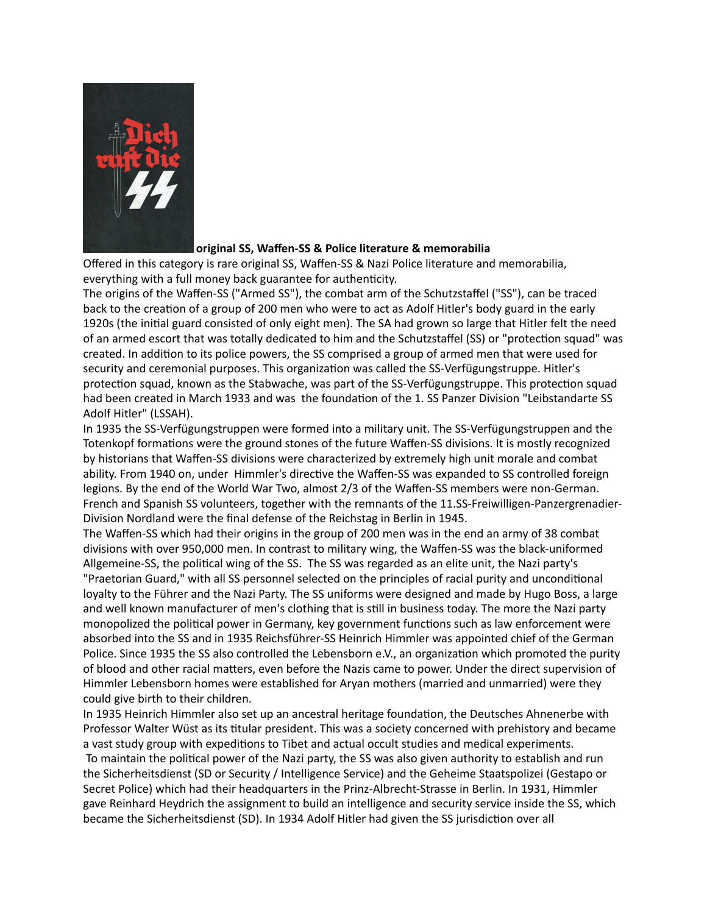

## **original SS, Waffen-SS & Police literature & memorabilia**

Offered in this category is rare original SS, Waffen-SS & Nazi Police literature and memorabilia, everything with a full money back guarantee for authenticity.

The origins of the Waffen-SS ("Armed SS"), the combat arm of the Schutzstaffel ("SS"), can be traced back to the creation of a group of 200 men who were to act as Adolf Hitler's body guard in the early 1920s (the initial guard consisted of only eight men). The SA had grown so large that Hitler felt the need of an armed escort that was totally dedicated to him and the Schutzstaffel (SS) or "protection squad" was created. In addition to its police powers, the SS comprised a group of armed men that were used for security and ceremonial purposes. This organization was called the SS-Verfügungstruppe. Hitler's protection squad, known as the Stabwache, was part of the SS-Verfügungstruppe. This protection squad had been created in March 1933 and was the foundation of the 1. SS Panzer Division "Leibstandarte SS Adolf Hitler" (LSSAH).

In 1935 the SS-Verfügungstruppen were formed into a military unit. The SS-Verfügungstruppen and the Totenkopf formations were the ground stones of the future Waffen-SS divisions. It is mostly recognized by historians that Waffen-SS divisions were characterized by extremely high unit morale and combat ability. From 1940 on, under Himmler's directive the Waffen-SS was expanded to SS controlled foreign legions. By the end of the World War Two, almost 2/3 of the Waffen-SS members were non-German. French and Spanish SS volunteers, together with the remnants of the 11.SS-Freiwilligen-Panzergrenadier-Division Nordland were the final defense of the Reichstag in Berlin in 1945.

The Waffen-SS which had their origins in the group of 200 men was in the end an army of 38 combat divisions with over 950,000 men. In contrast to military wing, the Waffen-SS was the black-uniformed Allgemeine-SS, the political wing of the SS. The SS was regarded as an elite unit, the Nazi party's "Praetorian Guard," with all SS personnel selected on the principles of racial purity and unconditional loyalty to the Führer and the Nazi Party. The SS uniforms were designed and made by Hugo Boss, a large and well known manufacturer of men's clothing that is still in business today. The more the Nazi party monopolized the political power in Germany, key government functions such as law enforcement were absorbed into the SS and in 1935 Reichsführer-SS Heinrich Himmler was appointed chief of the German Police. Since 1935 the SS also controlled the Lebensborn e.V., an organization which promoted the purity of blood and other racial matters, even before the Nazis came to power. Under the direct supervision of Himmler Lebensborn homes were established for Aryan mothers (married and unmarried) were they could give birth to their children.

In 1935 Heinrich Himmler also set up an ancestral heritage foundation, the Deutsches Ahnenerbe with Professor Walter Wüst as its titular president. This was a society concerned with prehistory and became a vast study group with expeditions to Tibet and actual occult studies and medical experiments. To maintain the political power of the Nazi party, the SS was also given authority to establish and run the Sicherheitsdienst (SD or Security / Intelligence Service) and the Geheime Staatspolizei (Gestapo or Secret Police) which had their headquarters in the Prinz-Albrecht-Strasse in Berlin. In 1931, Himmler gave Reinhard Heydrich the assignment to build an intelligence and security service inside the SS, which became the Sicherheitsdienst (SD). In 1934 Adolf Hitler had given the SS jurisdiction over all